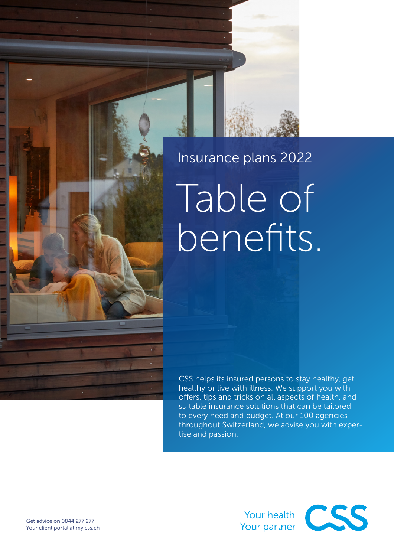# Insurance plans 2022

Table of benefits.

CSS helps its insured persons to stay healthy, get healthy or live with illness. We support you with offers, tips and tricks on all aspects of health, and suitable insurance solutions that can be tailored to every need and budget. At our 100 agencies throughout Switzerland, we advise you with expertise and passion.

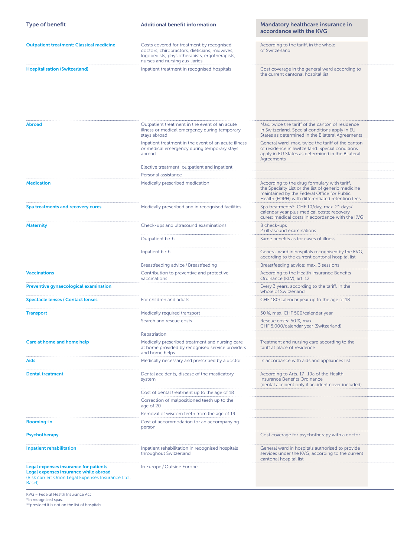| <b>Type of benefit</b>                                                                                                                                 | <b>Additional benefit information</b>                                                                                                                                          | Mandatory healthcare insurance in<br>accordance with the KVG                                                                                                                                          |
|--------------------------------------------------------------------------------------------------------------------------------------------------------|--------------------------------------------------------------------------------------------------------------------------------------------------------------------------------|-------------------------------------------------------------------------------------------------------------------------------------------------------------------------------------------------------|
| <b>Outpatient treatment: Classical medicine</b>                                                                                                        | Costs covered for treatment by recognised<br>doctors, chiropractors, dieticians, midwives,<br>logopedists, physiotherapists, ergotherapists,<br>nurses and nursing auxiliaries | According to the tariff, in the whole<br>of Switzerland                                                                                                                                               |
| <b>Hospitalisation (Switzerland)</b>                                                                                                                   | Inpatient treatment in recognised hospitals                                                                                                                                    | Cost coverage in the general ward according to<br>the current cantonal hospital list                                                                                                                  |
| <b>Abroad</b>                                                                                                                                          | Outpatient treatment in the event of an acute<br>illness or medical emergency during temporary<br>stays abroad                                                                 | Max. twice the tariff of the canton of residence<br>in Switzerland. Special conditions apply in EU<br>States as determined in the Bilateral Agreements                                                |
|                                                                                                                                                        | Inpatient treatment in the event of an acute illness<br>or medical emergency during temporary stays<br>abroad                                                                  | General ward, max. twice the tariff of the canton<br>of residence in Switzerland. Special conditions<br>apply in EU States as determined in the Bilateral<br>Agreements                               |
|                                                                                                                                                        | Elective treatment: outpatient and inpatient<br>Personal assistance                                                                                                            |                                                                                                                                                                                                       |
| <b>Medication</b>                                                                                                                                      | Medically prescribed medication                                                                                                                                                | According to the drug formulary with tariff,<br>the Specialty List or the list of generic medicine<br>maintained by the Federal Office for Public<br>Health (FOPH) with differentiated retention fees |
| Spa treatments and recovery cures                                                                                                                      | Medically prescribed and in recognised facilities                                                                                                                              | Spa treatments*: CHF 10/day, max. 21 days/<br>calendar year plus medical costs; recovery<br>cures: medical costs in accordance with the KVG                                                           |
| <b>Maternity</b>                                                                                                                                       | Check-ups and ultrasound examinations<br>Outpatient birth                                                                                                                      | 8 check-ups<br>2 ultrasound examinations<br>Same benefits as for cases of illness                                                                                                                     |
|                                                                                                                                                        | Inpatient birth                                                                                                                                                                | General ward in hospitals recognised by the KVG,<br>according to the current cantonal hospital list                                                                                                   |
|                                                                                                                                                        | Breastfeeding advice / Breastfeeding                                                                                                                                           | Breastfeeding advice: max. 3 sessions                                                                                                                                                                 |
| <b>Vaccinations</b>                                                                                                                                    | Contribution to preventive and protective<br>vaccinations                                                                                                                      | According to the Health Insurance Benefits<br>Ordinance (KLV), art. 12                                                                                                                                |
| Preventive gynaecological examination                                                                                                                  |                                                                                                                                                                                | Every 3 years, according to the tariff, in the<br>whole of Switzerland                                                                                                                                |
| <b>Spectacle lenses / Contact lenses</b>                                                                                                               | For children and adults                                                                                                                                                        | CHF 180/calendar year up to the age of 18                                                                                                                                                             |
| <b>Transport</b>                                                                                                                                       | Medically required transport                                                                                                                                                   | 50 %, max. CHF 500/calendar year                                                                                                                                                                      |
|                                                                                                                                                        | Search and rescue costs<br>Repatriation                                                                                                                                        | Rescue costs: 50%, max.<br>CHF 5,000/calendar year (Switzerland)                                                                                                                                      |
| Care at home and home help                                                                                                                             | Medically prescribed treatment and nursing care<br>at home provided by recognised service providers<br>and home helps                                                          | Treatment and nursing care according to the<br>tariff at place of residence                                                                                                                           |
| Aids                                                                                                                                                   | Medically necessary and prescribed by a doctor                                                                                                                                 | In accordance with aids and appliances list                                                                                                                                                           |
| <b>Dental treatment</b>                                                                                                                                | Dental accidents, disease of the masticatory<br>system                                                                                                                         | According to Arts. 17-19a of the Health<br>Insurance Benefits Ordinance<br>(dental accident only if accident cover included)                                                                          |
|                                                                                                                                                        | Cost of dental treatment up to the age of 18                                                                                                                                   |                                                                                                                                                                                                       |
|                                                                                                                                                        | Correction of malpositioned teeth up to the<br>age of 20                                                                                                                       |                                                                                                                                                                                                       |
| Rooming-in                                                                                                                                             | Removal of wisdom teeth from the age of 19<br>Cost of accommodation for an accompanying                                                                                        |                                                                                                                                                                                                       |
| Psychotherapy                                                                                                                                          | person                                                                                                                                                                         | Cost coverage for psychotherapy with a doctor                                                                                                                                                         |
|                                                                                                                                                        |                                                                                                                                                                                |                                                                                                                                                                                                       |
| <b>Inpatient rehabilitation</b>                                                                                                                        | Inpatient rehabilitation in recognised hospitals<br>throughout Switzerland                                                                                                     | General ward in hospitals authorised to provide<br>services under the KVG, according to the current<br>cantonal hospital list                                                                         |
| <b>Legal expenses insurance for patients</b><br>Legal expenses insurance while abroad<br>(Risk carrier: Orion Legal Expenses Insurance Ltd.,<br>Basel) | In Europe / Outside Europe                                                                                                                                                     |                                                                                                                                                                                                       |

KVG = Federal Health Insurance Act

\*In recognised spas.

\*\*provided it is not on the list of hospitals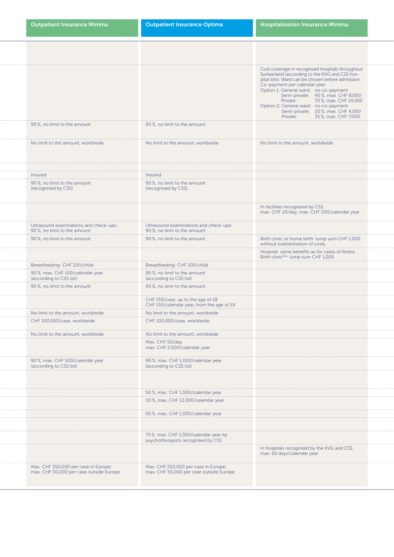| <b>Outpatient Insurance Minima</b>                                              | <b>Outpatient Insurance Optima</b>                                              | <b>Hospitalisation Insurance Minima</b>                                                                                                                                                                                                                                                                                                                                                                           |
|---------------------------------------------------------------------------------|---------------------------------------------------------------------------------|-------------------------------------------------------------------------------------------------------------------------------------------------------------------------------------------------------------------------------------------------------------------------------------------------------------------------------------------------------------------------------------------------------------------|
|                                                                                 |                                                                                 |                                                                                                                                                                                                                                                                                                                                                                                                                   |
|                                                                                 |                                                                                 | Cost coverage in recognised hospitals throughout<br>Switzerland (according to the KVG and CSS hospital lists). Ward can be chosen before admission.<br>Co-payment per calendar year:<br>Option 1: General ward: no co-payment<br>Semi-private: 40%, max. CHF 8,000<br>Private: 70%, max. CHF 14,000<br>Option 2: General ward: no co-payment<br>Semi-private: 20%, max. CHF 4,000<br>Private: 35%, max. CHF 7,000 |
| 90%, no limit to the amount                                                     | 90%, no limit to the amount                                                     |                                                                                                                                                                                                                                                                                                                                                                                                                   |
| No limit to the amount, worldwide                                               | No limit to the amount, worldwide                                               | No limit to the amount, worldwide                                                                                                                                                                                                                                                                                                                                                                                 |
|                                                                                 |                                                                                 |                                                                                                                                                                                                                                                                                                                                                                                                                   |
| Insured<br>90%, no limit to the amount                                          | Insured<br>90%, no limit to the amount                                          |                                                                                                                                                                                                                                                                                                                                                                                                                   |
| (recognised by CSS)                                                             | (recognised by CSS)                                                             |                                                                                                                                                                                                                                                                                                                                                                                                                   |
|                                                                                 |                                                                                 | In facilities recognised by CSS,<br>max. CHF 20/day, max. CHF 500/calendar year                                                                                                                                                                                                                                                                                                                                   |
| Ultrasound examinations and check-ups:<br>90%, no limit to the amount           | Ultrasound examinations and check-ups:<br>90%, no limit to the amount           |                                                                                                                                                                                                                                                                                                                                                                                                                   |
| 90%, no limit to the amount                                                     | 90%, no limit to the amount                                                     | Birth clinic or home birth: lump sum CHF 1,000<br>without substantiation of costs                                                                                                                                                                                                                                                                                                                                 |
|                                                                                 |                                                                                 | Hospital: same benefits as for cases of illness<br>Birth clinic**: lump sum CHF 1,000                                                                                                                                                                                                                                                                                                                             |
| Breastfeeding: CHF 200/child                                                    | Breastfeeding: CHF 200/child                                                    |                                                                                                                                                                                                                                                                                                                                                                                                                   |
| 90%, max. CHF 100/calendar year<br>(according to CSS list)                      | 90%, no limit to the amount<br>(according to CSS list)                          |                                                                                                                                                                                                                                                                                                                                                                                                                   |
| 90%, no limit to the amount                                                     | 90%, no limit to the amount                                                     |                                                                                                                                                                                                                                                                                                                                                                                                                   |
|                                                                                 | CHF 150/case, up to the age of 18<br>CHF 150/calendar year, from the age of 19  |                                                                                                                                                                                                                                                                                                                                                                                                                   |
| No limit to the amount, worldwide                                               | No limit to the amount, worldwide                                               |                                                                                                                                                                                                                                                                                                                                                                                                                   |
| CHF 100,000/case, worldwide                                                     | CHF 100,000/case, worldwide                                                     |                                                                                                                                                                                                                                                                                                                                                                                                                   |
| No limit to the amount, worldwide                                               | No limit to the amount, worldwide                                               |                                                                                                                                                                                                                                                                                                                                                                                                                   |
|                                                                                 | Max. CHF 50/day,<br>max. CHF 2,000/calendar year                                |                                                                                                                                                                                                                                                                                                                                                                                                                   |
| 90%, max. CHF 500/calendar year<br>(according to CSS list)                      | 90%, max. CHF 1,000/calendar year<br>(according to CSS list)                    |                                                                                                                                                                                                                                                                                                                                                                                                                   |
|                                                                                 |                                                                                 |                                                                                                                                                                                                                                                                                                                                                                                                                   |
|                                                                                 | 50%, max. CHF 1,000/calendar year                                               |                                                                                                                                                                                                                                                                                                                                                                                                                   |
|                                                                                 | 50%, max. CHF 12,000/calendar year                                              |                                                                                                                                                                                                                                                                                                                                                                                                                   |
|                                                                                 | 50%, max. CHF 1,000/calendar year                                               |                                                                                                                                                                                                                                                                                                                                                                                                                   |
|                                                                                 |                                                                                 |                                                                                                                                                                                                                                                                                                                                                                                                                   |
|                                                                                 | 75%, max. CHF 1,000/calendar year by<br>psychotherapists recognised by CSS      |                                                                                                                                                                                                                                                                                                                                                                                                                   |
|                                                                                 |                                                                                 | In hospitals recognised by the KVG and CSS,<br>max. 60 days/calendar year                                                                                                                                                                                                                                                                                                                                         |
| Max. CHF 250,000 per case in Europe;<br>max. CHF 50,000 per case outside Europe | Max. CHF 250,000 per case in Europe;<br>max. CHF 50,000 per case outside Europe |                                                                                                                                                                                                                                                                                                                                                                                                                   |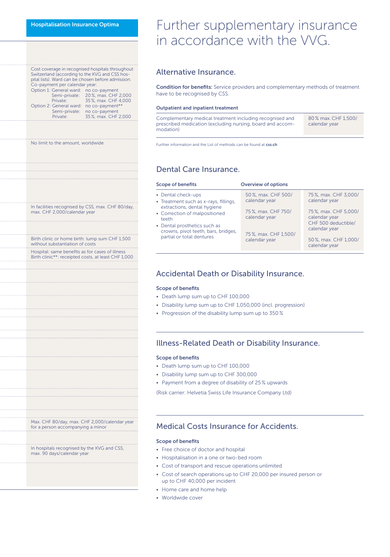| Cost coverage in recognised hospitals throughout   |                                   |  |  |  |  |  |
|----------------------------------------------------|-----------------------------------|--|--|--|--|--|
| Switzerland (according to the KVG and CSS hos-     |                                   |  |  |  |  |  |
| pital lists). Ward can be chosen before admission. |                                   |  |  |  |  |  |
| Co-payment per calendar year:                      |                                   |  |  |  |  |  |
| Option 1: General ward: no co-payment              |                                   |  |  |  |  |  |
|                                                    | Semi-private: 20%, max. CHF 2,000 |  |  |  |  |  |
| Private:                                           | 35%, max. CHF 4,000               |  |  |  |  |  |
| Option 2: General ward:                            | no co-payment**                   |  |  |  |  |  |
| Semi-private:                                      | no co-payment                     |  |  |  |  |  |
| Private:                                           | 35%, max. CHF 2,000               |  |  |  |  |  |

No limit to the amount, worldwide

In facilities recognised by CSS, max. CHF 80/day, max. CHF 2,000/calendar year

Birth clinic or home birth: lump sum CHF 1,500 without substantiation of costs

Hospital: same benefits as for cases of illness Birth clinic\*\*: receipted costs, at least CHF 1,000

# Further supplementary insurance in accordance with the VVG.

### Alternative Insurance.

Condition for benefits: Service providers and complementary methods of treatment have to be recognised by CSS.

#### Outpatient and inpatient treatment

Complementary medical treatment including recognised and prescribed medication (excluding nursing, board and accommodation) 80 % max. CHF 1,500/ calendar year

Further information and the List of methods can be found at [css.ch](http://www.css.ch)

### Dental Care Insurance.

| <b>Scope of benefits</b>                                                                   | <b>Overview of options</b>            |                                                                               |  |  |
|--------------------------------------------------------------------------------------------|---------------------------------------|-------------------------------------------------------------------------------|--|--|
| • Dental check-ups<br>• Treatment such as x-rays, fillings,<br>extractions, dental hygiene | 50 %, max. CHF 500/<br>calendar year  | 75%, max. CHF 3,000/<br>calendar year                                         |  |  |
| • Correction of malpositioned<br>teeth<br>• Dental prosthetics such as                     | 75%, max. CHF 750/<br>calendar year   | 75%, max. CHF 5,000/<br>calendar year<br>CHF 500 deductible/<br>calendar year |  |  |
| crowns, pivot teeth, bars, bridges,<br>partial or total dentures                           | 75%, max. CHF 1,500/<br>calendar year | 50 %, max. CHF 1,000/<br>calendar year                                        |  |  |

### Accidental Death or Disability Insurance.

#### Scope of benefits

- Death lump sum up to CHF 100,000
- Disability lump sum up to CHF 1,050,000 (incl. progression)
- Progression of the disability lump sum up to 350 %

### Illness-Related Death or Disability Insurance.

#### Scope of benefits

- Death lump sum up to CHF 100,000
- Disability lump sum up to CHF 300,000
- Payment from a degree of disability of 25 % upwards
- (Risk carrier: Helvetia Swiss Life Insurance Company Ltd)

### Medical Costs Insurance for Accidents.

#### Scope of benefits

- Free choice of doctor and hospital
- Hospitalisation in a one or two-bed room
- Cost of transport and rescue operations unlimited
- Cost of search operations up to CHF 20,000 per insured person or up to CHF 40,000 per incident
- Home care and home help
- Worldwide cover

Max. CHF 80/day, max. CHF 2,000/calendar year for a person accompanying a minor

In hospitals recognised by the KVG and CSS, max. 90 days/calendar year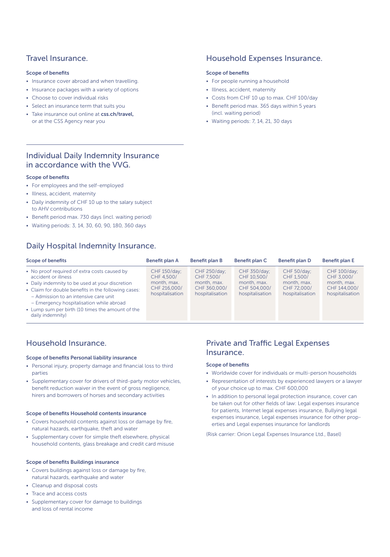# Travel Insurance.

### Scope of benefits

- Insurance cover abroad and when travelling.
- Insurance packages with a variety of options
- Choose to cover individual risks
- Select an insurance term that suits you
- Take insurance out online at [css.ch/travel](http://www.css.ch/travel), or at the CSS Agency near you

### Household Expenses Insurance.

### Scope of benefits

- For people running a household
- Illness, accident, maternity
- Costs from CHF 10 up to max. CHF 100/day
- Benefit period max. 365 days within 5 years (incl. waiting period)
- Waiting periods: 7, 14, 21, 30 days

# Individual Daily Indemnity Insurance in accordance with the VVG.

### Scope of benefits

- For employees and the self-employed
- Illness, accident, maternity
- Daily indemnity of CHF 10 up to the salary subject to AHV contributions
- Benefit period max. 730 days (incl. waiting period)
- Waiting periods: 3, 14, 30, 60, 90, 180, 360 days

# Daily Hospital Indemnity Insurance.

| <b>Scope of benefits</b>                                                                                                                                                                                                                                                                                                                   | <b>Benefit plan A</b>                                                        | Benefit plan B                                                               | Benefit plan C                                                                | Benefit plan D                                                             | Benefit plan E                                                               |
|--------------------------------------------------------------------------------------------------------------------------------------------------------------------------------------------------------------------------------------------------------------------------------------------------------------------------------------------|------------------------------------------------------------------------------|------------------------------------------------------------------------------|-------------------------------------------------------------------------------|----------------------------------------------------------------------------|------------------------------------------------------------------------------|
| • No proof required of extra costs caused by<br>accident or illness<br>• Daily indemnity to be used at your discretion<br>• Claim for double benefits in the following cases:<br>- Admission to an intensive care unit<br>- Emergency hospitalisation while abroad<br>• Lump sum per birth (10 times the amount of the<br>daily indemnity) | CHF 150/day;<br>CHF 4.500/<br>month, max.<br>CHF 216,000/<br>hospitalisation | CHF 250/day;<br>CHF 7.500/<br>month, max.<br>CHF 360,000/<br>hospitalisation | CHF 350/day;<br>CHF 10.500/<br>month, max.<br>CHF 504,000/<br>hospitalisation | CHF 50/day;<br>CHF 1.500/<br>month, max.<br>CHF 72,000/<br>hospitalisation | CHF 100/day;<br>CHF 3,000/<br>month, max.<br>CHF 144,000/<br>hospitalisation |

# Household Insurance.

### Scope of benefits Personal liability insurance

- Personal injury, property damage and financial loss to third parties
- Supplementary cover for drivers of third-party motor vehicles, benefit reduction waiver in the event of gross negligence, hirers and borrowers of horses and secondary activities

#### Scope of benefits Household contents insurance

- Covers household contents against loss or damage by fire, natural hazards, earthquake, theft and water
- Supplementary cover for simple theft elsewhere, physical household contents, glass breakage and credit card misuse

#### Scope of benefits Buildings insurance

- Covers buildings against loss or damage by fire, natural hazards, earthquake and water
- Cleanup and disposal costs
- Trace and access costs
- Supplementary cover for damage to buildings and loss of rental income

# Private and Traffic Legal Expenses Insurance.

### Scope of benefits

- Worldwide cover for individuals or multi-person households
- Representation of interests by experienced lawyers or a lawyer of your choice up to max. CHF 600,000
- In addition to personal legal protection insurance, cover can be taken out for other fields of law: Legal expenses insurance for patients, Internet legal expenses insurance, Bullying legal expenses insurance, Legal expenses insurance for other properties and Legal expenses insurance for landlords

(Risk carrier: Orion Legal Expenses Insurance Ltd., Basel)